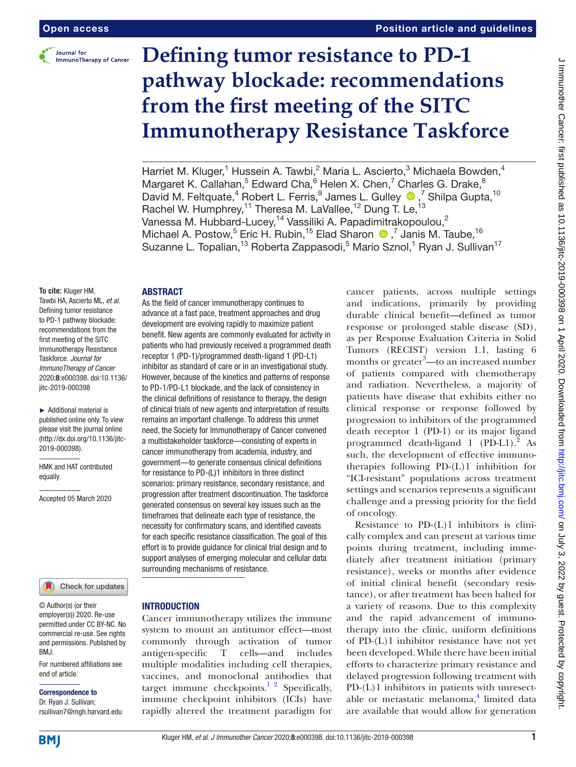

# **Defining tumor resistance to PD-1 pathway blockade: recommendations from the first meeting of the SITC Immunotherapy Resistance Taskforce**

Harriet M. Kluger,<sup>1</sup> Hussein A. Tawbi,<sup>2</sup> Maria L. Ascierto,<sup>3</sup> Michaela Bowden,<sup>4</sup> Margaret K. Callahan,<sup>5</sup> Edward Cha,<sup>6</sup> Helen X. Chen,<sup>7</sup> Charles G. Drake,<sup>8</sup> David M. Feltquate,<sup>4</sup> Robert L. Ferris,<sup>9</sup> James L. Gulley <sup>1</sup>,<sup>7</sup> Shilpa Gupta,<sup>10</sup> Rachel W. Humphrey,<sup>11</sup> Theresa M. LaVallee,<sup>12</sup> Dung T. Le,<sup>13</sup> Vanessa M. Hubbard-Lucey, $^{14}$  Vassiliki A. Papadimitrakopoulou, $^{2}$ Michael A. Postow,<sup>5</sup> Eric H. Rubin,<sup>15</sup> Elad Sharon  $\bullet$ ,<sup>7</sup> Janis M. Taube,<sup>16</sup> Suzanne L. Topalian,<sup>13</sup> Roberta Zappasodi,<sup>5</sup> Mario Sznol,<sup>1</sup> Ryan J. Sullivan<sup>17</sup>

#### **ABSTRACT**

**To cite:** Kluger HM, Tawbi HA, Ascierto ML, *et al*. Defining tumor resistance to PD-1 pathway blockade: recommendations from the first meeting of the SITC Immunotherapy Resistance Taskforce. *Journal for ImmunoTherapy of Cancer* 2020;8:e000398. doi:10.1136/ jitc-2019-000398

► Additional material is published online only. To view please visit the journal online (http://dx.doi.org/10.1136/jitc-2019-000398).

HMK and HAT contributed equally.

Accepted 05 March 2020



© Author(s) (or their employer(s)) 2020. Re-use permitted under CC BY-NC. No commercial re-use. See rights and permissions. Published by BMJ.

For numbered affiliations see end of article.

#### Correspondence to

Dr. Ryan J. Sullivan; rsullivan7@mgh.harvard.edu

advance at a fast pace, treatment approaches and drug development are evolving rapidly to maximize patient benefit. New agents are commonly evaluated for activity in patients who had previously received a programmed death receptor 1 (PD-1)/programmed death-ligand 1 (PD-L1) inhibitor as standard of care or in an investigational study. However, because of the kinetics and patterns of response to PD-1/PD-L1 blockade, and the lack of consistency in the clinical definitions of resistance to therapy, the design of clinical trials of new agents and interpretation of results remains an important challenge. To address this unmet need, the Society for Immunotherapy of Cancer convened a multistakeholder taskforce—consisting of experts in cancer immunotherapy from academia, industry, and government—to generate consensus clinical definitions for resistance to PD-(L)1 inhibitors in three distinct scenarios: primary resistance, secondary resistance, and progression after treatment discontinuation. The taskforce generated consensus on several key issues such as the timeframes that delineate each type of resistance, the necessity for confirmatory scans, and identified caveats for each specific resistance classification. The goal of this effort is to provide guidance for clinical trial design and to support analyses of emerging molecular and cellular data surrounding mechanisms of resistance.

As the field of cancer immunotherapy continues to

#### **INTRODUCTION**

Cancer immunotherapy utilizes the immune system to mount an antitumor effect—most commonly through activation of tumor antigen-specific T cells—and includes multiple modalities including cell therapies, vaccines, and monoclonal antibodies that target immune checkpoints.<sup>1</sup> <sup>2</sup> Specifically, immune checkpoint inhibitors (ICIs) have rapidly altered the treatment paradigm for

cancer patients, across multiple settings and indications, primarily by providing durable clinical benefit—defined as tumor response or prolonged stable disease (SD), as per Response Evaluation Criteria in Solid Tumors (RECIST) version 1.1, lasting 6 months or greater<sup>3</sup>—to an increased number of patients compared with chemotherapy and radiation. Nevertheless, a majority of patients have disease that exhibits either no clinical response or response followed by progression to inhibitors of the programmed death receptor 1 (PD-1) or its major ligand programmed death-ligand  $1$  (PD-L1).<sup>[2](#page-10-2)</sup> As such, the development of effective immunotherapies following PD-(L)1 inhibition for "ICI-resistant" populations across treatment settings and scenarios represents a significant challenge and a pressing priority for the field of oncology.

Resistance to PD-(L)1 inhibitors is clinically complex and can present at various time points during treatment, including immediately after treatment initiation (primary resistance), weeks or months after evidence of initial clinical benefit (secondary resistance), or after treatment has been halted for a variety of reasons. Due to this complexity and the rapid advancement of immunotherapy into the clinic, uniform definitions of PD-(L)1 inhibitor resistance have not yet been developed. While there have been initial efforts to characterize primary resistance and delayed progression following treatment with PD-(L)1 inhibitors in patients with unresect-able or metastatic melanoma,<sup>[4](#page-10-3)</sup> limited data are available that would allow for generation

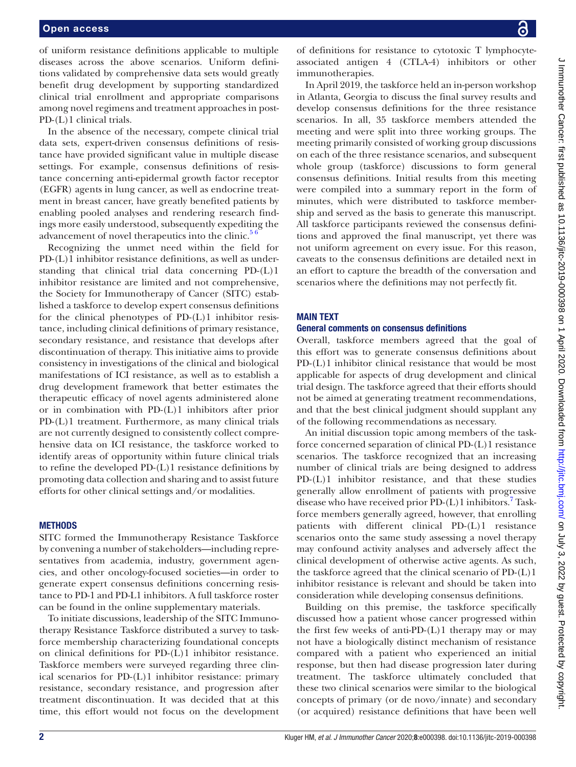of uniform resistance definitions applicable to multiple diseases across the above scenarios. Uniform definitions validated by comprehensive data sets would greatly benefit drug development by supporting standardized clinical trial enrollment and appropriate comparisons among novel regimens and treatment approaches in post-PD-(L)1 clinical trials.

In the absence of the necessary, compete clinical trial data sets, expert-driven consensus definitions of resistance have provided significant value in multiple disease settings. For example, consensus definitions of resistance concerning anti-epidermal growth factor receptor (EGFR) agents in lung cancer, as well as endocrine treatment in breast cancer, have greatly benefited patients by enabling pooled analyses and rendering research findings more easily understood, subsequently expediting the advancement of novel therapeutics into the clinic. $56$ 

Recognizing the unmet need within the field for PD-(L)1 inhibitor resistance definitions, as well as understanding that clinical trial data concerning PD-(L)1 inhibitor resistance are limited and not comprehensive, the Society for Immunotherapy of Cancer (SITC) established a taskforce to develop expert consensus definitions for the clinical phenotypes of PD-(L)1 inhibitor resistance, including clinical definitions of primary resistance, secondary resistance, and resistance that develops after discontinuation of therapy. This initiative aims to provide consistency in investigations of the clinical and biological manifestations of ICI resistance, as well as to establish a drug development framework that better estimates the therapeutic efficacy of novel agents administered alone or in combination with PD-(L)1 inhibitors after prior PD-(L)1 treatment. Furthermore, as many clinical trials are not currently designed to consistently collect comprehensive data on ICI resistance, the taskforce worked to identify areas of opportunity within future clinical trials to refine the developed PD-(L)1 resistance definitions by promoting data collection and sharing and to assist future efforts for other clinical settings and/or modalities.

#### **METHODS**

SITC formed the Immunotherapy Resistance Taskforce by convening a number of stakeholders—including representatives from academia, industry, government agencies, and other oncology-focused societies—in order to generate expert consensus definitions concerning resistance to PD-1 and PD-L1 inhibitors. A full taskforce roster can be found in the [online supplementary materials.](https://dx.doi.org/10.1136/jitc-2019-000398)

To initiate discussions, leadership of the SITC Immunotherapy Resistance Taskforce distributed a survey to taskforce membership characterizing foundational concepts on clinical definitions for PD-(L)1 inhibitor resistance. Taskforce members were surveyed regarding three clinical scenarios for PD-(L)1 inhibitor resistance: primary resistance, secondary resistance, and progression after treatment discontinuation. It was decided that at this time, this effort would not focus on the development

J Immunother Cancer: first published as 10.1136/jitc-2019-000398 on 1 April 2020. Downloaded from http://jitc.bm/ on July 3, 2022 by guest. Protected by copyright J Immunother Cancer: first published as 10.1136/jitc-2019-000398 on 1 April 2020. Downloaded from <http://jitc.bmj.com/> on July 3, 2022 by guest. Protected by copyright.

of definitions for resistance to cytotoxic T lymphocyteassociated antigen 4 (CTLA-4) inhibitors or other immunotherapies.

In April 2019, the taskforce held an in-person workshop in Atlanta, Georgia to discuss the final survey results and develop consensus definitions for the three resistance scenarios. In all, 35 taskforce members attended the meeting and were split into three working groups. The meeting primarily consisted of working group discussions on each of the three resistance scenarios, and subsequent whole group (taskforce) discussions to form general consensus definitions. Initial results from this meeting were compiled into a summary report in the form of minutes, which were distributed to taskforce membership and served as the basis to generate this manuscript. All taskforce participants reviewed the consensus definitions and approved the final manuscript, yet there was not uniform agreement on every issue. For this reason, caveats to the consensus definitions are detailed next in an effort to capture the breadth of the conversation and scenarios where the definitions may not perfectly fit.

#### **MAIN TEXT**

#### General comments on consensus definitions

Overall, taskforce members agreed that the goal of this effort was to generate consensus definitions about PD-(L)1 inhibitor clinical resistance that would be most applicable for aspects of drug development and clinical trial design. The taskforce agreed that their efforts should not be aimed at generating treatment recommendations, and that the best clinical judgment should supplant any of the following recommendations as necessary.

An initial discussion topic among members of the taskforce concerned separation of clinical PD-(L)1 resistance scenarios. The taskforce recognized that an increasing number of clinical trials are being designed to address PD-(L)1 inhibitor resistance, and that these studies generally allow enrollment of patients with progressive disease who have received prior PD-(L)1 inhibitors.<sup>[7](#page-10-5)</sup> Taskforce members generally agreed, however, that enrolling patients with different clinical PD-(L)1 resistance scenarios onto the same study assessing a novel therapy may confound activity analyses and adversely affect the clinical development of otherwise active agents. As such, the taskforce agreed that the clinical scenario of PD-(L)1 inhibitor resistance is relevant and should be taken into consideration while developing consensus definitions.

Building on this premise, the taskforce specifically discussed how a patient whose cancer progressed within the first few weeks of anti-PD- $(L)1$  therapy may or may not have a biologically distinct mechanism of resistance compared with a patient who experienced an initial response, but then had disease progression later during treatment. The taskforce ultimately concluded that these two clinical scenarios were similar to the biological concepts of primary (or de novo/innate) and secondary (or acquired) resistance definitions that have been well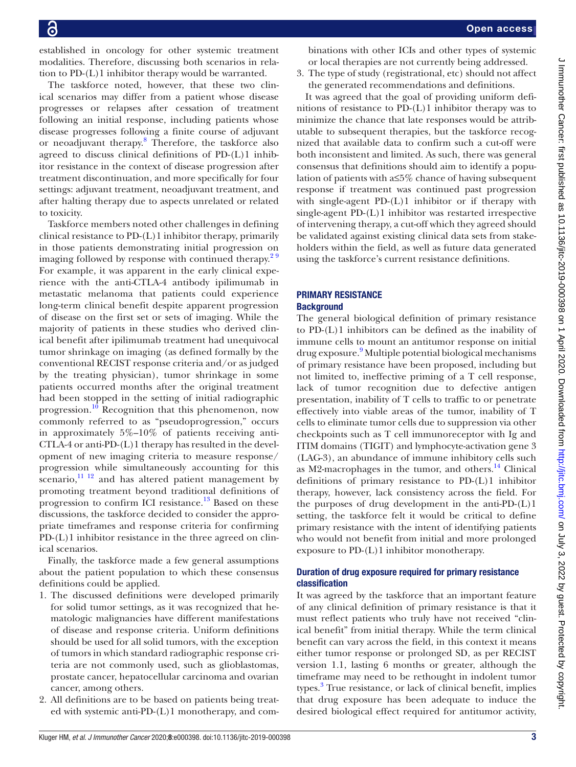established in oncology for other systemic treatment modalities. Therefore, discussing both scenarios in relation to PD-(L)1 inhibitor therapy would be warranted.

The taskforce noted, however, that these two clinical scenarios may differ from a patient whose disease progresses or relapses after cessation of treatment following an initial response, including patients whose disease progresses following a finite course of adjuvant or neoadjuvant therapy.<sup>[8](#page-10-6)</sup> Therefore, the taskforce also agreed to discuss clinical definitions of PD-(L)1 inhibitor resistance in the context of disease progression after treatment discontinuation, and more specifically for four settings: adjuvant treatment, neoadjuvant treatment, and after halting therapy due to aspects unrelated or related to toxicity.

Taskforce members noted other challenges in defining clinical resistance to PD-(L)1 inhibitor therapy, primarily in those patients demonstrating initial progression on imaging followed by response with continued therapy. $29$ For example, it was apparent in the early clinical experience with the anti-CTLA-4 antibody ipilimumab in metastatic melanoma that patients could experience long-term clinical benefit despite apparent progression of disease on the first set or sets of imaging. While the majority of patients in these studies who derived clinical benefit after ipilimumab treatment had unequivocal tumor shrinkage on imaging (as defined formally by the conventional RECIST response criteria and/or as judged by the treating physician), tumor shrinkage in some patients occurred months after the original treatment had been stopped in the setting of initial radiographic progression.<sup>10</sup> Recognition that this phenomenon, now commonly referred to as "pseudoprogression," occurs in approximately 5%–10% of patients receiving anti-CTLA-4 or anti-PD-(L)1 therapy has resulted in the development of new imaging criteria to measure response/ progression while simultaneously accounting for this  $\frac{1}{3}$  scenario, $\frac{11}{12}$  and has altered patient management by promoting treatment beyond traditional definitions of progression to confirm ICI resistance.<sup>[13](#page-10-9)</sup> Based on these discussions, the taskforce decided to consider the appropriate timeframes and response criteria for confirming PD-(L)1 inhibitor resistance in the three agreed on clinical scenarios.

Finally, the taskforce made a few general assumptions about the patient population to which these consensus definitions could be applied.

- 1. The discussed definitions were developed primarily for solid tumor settings, as it was recognized that hematologic malignancies have different manifestations of disease and response criteria. Uniform definitions should be used for all solid tumors, with the exception of tumors in which standard radiographic response criteria are not commonly used, such as glioblastomas, prostate cancer, hepatocellular carcinoma and ovarian cancer, among others.
- 2. All definitions are to be based on patients being treated with systemic anti-PD-(L)1 monotherapy, and com-

binations with other ICIs and other types of systemic or local therapies are not currently being addressed.

3. The type of study (registrational, etc) should not affect the generated recommendations and definitions.

It was agreed that the goal of providing uniform definitions of resistance to PD-(L)1 inhibitor therapy was to minimize the chance that late responses would be attributable to subsequent therapies, but the taskforce recognized that available data to confirm such a cut-off were both inconsistent and limited. As such, there was general consensus that definitions should aim to identify a population of patients with a≤5% chance of having subsequent response if treatment was continued past progression with single-agent PD-(L)1 inhibitor or if therapy with single-agent PD-(L)1 inhibitor was restarted irrespective of intervening therapy, a cut-off which they agreed should be validated against existing clinical data sets from stakeholders within the field, as well as future data generated using the taskforce's current resistance definitions.

#### Primary resistance **Background**

The general biological definition of primary resistance to PD-(L)1 inhibitors can be defined as the inability of immune cells to mount an antitumor response on initial drug exposure.<sup>9</sup> Multiple potential biological mechanisms of primary resistance have been proposed, including but not limited to, ineffective priming of a T cell response, lack of tumor recognition due to defective antigen presentation, inability of T cells to traffic to or penetrate effectively into viable areas of the tumor, inability of T cells to eliminate tumor cells due to suppression via other checkpoints such as T cell immunoreceptor with Ig and ITIM domains (TIGIT) and lymphocyte-activation gene 3 (LAG-3), an abundance of immune inhibitory cells such as M2-macrophages in the tumor, and others.<sup>14</sup> Clinical definitions of primary resistance to PD-(L)1 inhibitor therapy, however, lack consistency across the field. For the purposes of drug development in the anti-PD-(L)1 setting, the taskforce felt it would be critical to define primary resistance with the intent of identifying patients who would not benefit from initial and more prolonged exposure to PD-(L)1 inhibitor monotherapy.

# Duration of drug exposure required for primary resistance classification

It was agreed by the taskforce that an important feature of any clinical definition of primary resistance is that it must reflect patients who truly have not received "clinical benefit" from initial therapy. While the term clinical benefit can vary across the field, in this context it means either tumor response or prolonged SD, as per RECIST version 1.1, lasting 6 months or greater, although the timeframe may need to be rethought in indolent tumor types.<sup>3</sup> True resistance, or lack of clinical benefit, implies that drug exposure has been adequate to induce the desired biological effect required for antitumor activity,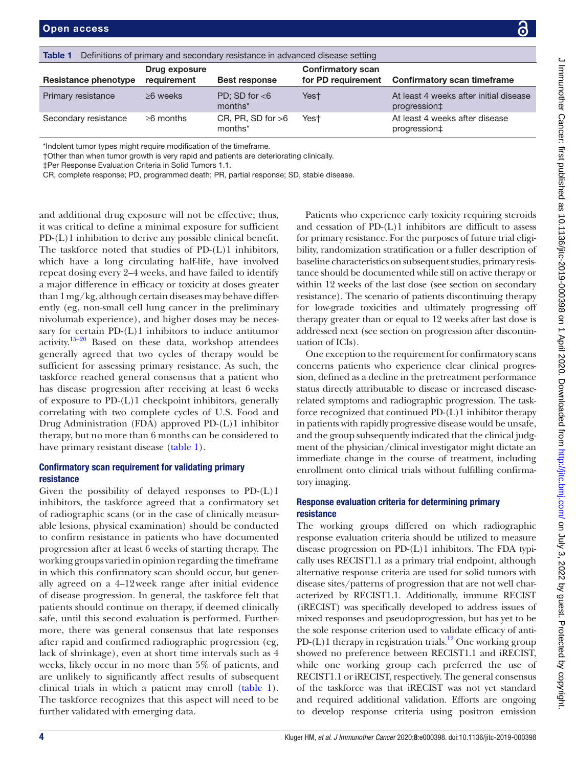<span id="page-3-0"></span>

| Definitions of primary and secondary resistance in advanced disease setting<br>Table 1 |                              |                                |                          |                                                        |  |  |
|----------------------------------------------------------------------------------------|------------------------------|--------------------------------|--------------------------|--------------------------------------------------------|--|--|
| <b>Resistance phenotype</b>                                                            | Drug exposure<br>requirement | <b>Best response</b>           | <b>Confirmatory scan</b> | for PD requirement Confirmatory scan timeframe         |  |  |
| Primary resistance                                                                     | $\geq 6$ weeks               | PD; SD for $<$ 6<br>months*    | Yest                     | At least 4 weeks after initial disease<br>progression‡ |  |  |
| Secondary resistance                                                                   | $\geq 6$ months              | CR, PR, SD for $>6$<br>months* | Yest                     | At least 4 weeks after disease<br>progression‡         |  |  |

\*Indolent tumor types might require modification of the timeframe.

†Other than when tumor growth is very rapid and patients are deteriorating clinically.

‡Per Response Evaluation Criteria in Solid Tumors 1.1.

CR, complete response; PD, programmed death; PR, partial response; SD, stable disease.

and additional drug exposure will not be effective; thus, it was critical to define a minimal exposure for sufficient PD-(L)1 inhibition to derive any possible clinical benefit. The taskforce noted that studies of PD-(L)1 inhibitors, which have a long circulating half-life, have involved repeat dosing every 2–4 weeks, and have failed to identify a major difference in efficacy or toxicity at doses greater than 1mg/kg, although certain diseases may behave differently (eg, non-small cell lung cancer in the preliminary nivolumab experience), and higher doses may be necessary for certain PD-(L)1 inhibitors to induce antitumor activity.<sup>15-20</sup> Based on these data, workshop attendees generally agreed that two cycles of therapy would be sufficient for assessing primary resistance. As such, the taskforce reached general consensus that a patient who has disease progression after receiving at least 6 weeks of exposure to PD-(L)1 checkpoint inhibitors, generally correlating with two complete cycles of U.S. Food and Drug Administration (FDA) approved PD-(L)1 inhibitor therapy, but no more than 6 months can be considered to have primary resistant disease [\(table](#page-3-0) 1).

#### Confirmatory scan requirement for validating primary resistance

Given the possibility of delayed responses to PD-(L)1 inhibitors, the taskforce agreed that a confirmatory set of radiographic scans (or in the case of clinically measurable lesions, physical examination) should be conducted to confirm resistance in patients who have documented progression after at least 6 weeks of starting therapy. The working groups varied in opinion regarding the timeframe in which this confirmatory scan should occur, but generally agreed on a 4–12week range after initial evidence of disease progression. In general, the taskforce felt that patients should continue on therapy, if deemed clinically safe, until this second evaluation is performed. Furthermore, there was general consensus that late responses after rapid and confirmed radiographic progression (eg, lack of shrinkage), even at short time intervals such as 4 weeks, likely occur in no more than 5% of patients, and are unlikely to significantly affect results of subsequent clinical trials in which a patient may enroll ([table](#page-3-0) 1). The taskforce recognizes that this aspect will need to be further validated with emerging data.

Patients who experience early toxicity requiring steroids and cessation of PD-(L)1 inhibitors are difficult to assess for primary resistance. For the purposes of future trial eligibility, randomization stratification or a fuller description of baseline characteristics on subsequent studies, primary resistance should be documented while still on active therapy or within 12 weeks of the last dose (see section on secondary resistance). The scenario of patients discontinuing therapy for low-grade toxicities and ultimately progressing off therapy greater than or equal to 12 weeks after last dose is addressed next (see section on progression after discontinuation of ICIs).

One exception to the requirement for confirmatory scans concerns patients who experience clear clinical progression, defined as a decline in the pretreatment performance status directly attributable to disease or increased diseaserelated symptoms and radiographic progression. The taskforce recognized that continued PD-(L)1 inhibitor therapy in patients with rapidly progressive disease would be unsafe, and the group subsequently indicated that the clinical judgment of the physician/clinical investigator might dictate an immediate change in the course of treatment, including enrollment onto clinical trials without fulfilling confirmatory imaging.

#### Response evaluation criteria for determining primary resistance

The working groups differed on which radiographic response evaluation criteria should be utilized to measure disease progression on PD-(L)1 inhibitors. The FDA typically uses RECIST1.1 as a primary trial endpoint, although alternative response criteria are used for solid tumors with disease sites/patterns of progression that are not well characterized by RECIST1.1. Additionally, immune RECIST (iRECIST) was specifically developed to address issues of mixed responses and pseudoprogression, but has yet to be the sole response criterion used to validate efficacy of anti-PD- $(L)1$  therapy in registration trials.<sup>12</sup> One working group showed no preference between RECIST1.1 and iRECIST, while one working group each preferred the use of RECIST1.1 or iRECIST, respectively. The general consensus of the taskforce was that iRECIST was not yet standard and required additional validation. Efforts are ongoing to develop response criteria using positron emission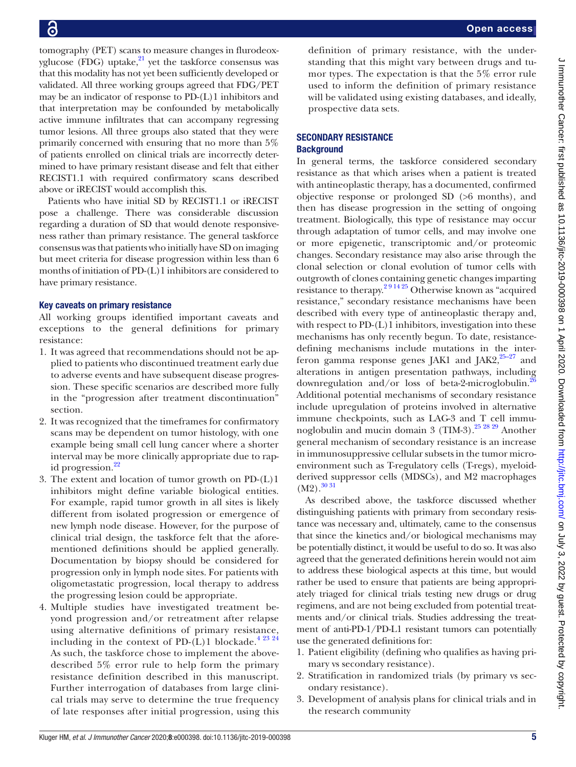tomography (PET) scans to measure changes in flurodeoxyglucose (FDG) uptake, $^{21}$  yet the taskforce consensus was that this modality has not yet been sufficiently developed or validated. All three working groups agreed that FDG/PET may be an indicator of response to PD-(L)1 inhibitors and that interpretation may be confounded by metabolically active immune infiltrates that can accompany regressing tumor lesions. All three groups also stated that they were primarily concerned with ensuring that no more than 5% of patients enrolled on clinical trials are incorrectly determined to have primary resistant disease and felt that either RECIST1.1 with required confirmatory scans described above or iRECIST would accomplish this.

Patients who have initial SD by RECIST1.1 or iRECIST pose a challenge. There was considerable discussion regarding a duration of SD that would denote responsiveness rather than primary resistance. The general taskforce consensus was that patients who initially have SD on imaging but meet criteria for disease progression within less than 6 months of initiation of PD-(L)1 inhibitors are considered to have primary resistance.

# Key caveats on primary resistance

All working groups identified important caveats and exceptions to the general definitions for primary resistance:

- 1. It was agreed that recommendations should not be applied to patients who discontinued treatment early due to adverse events and have subsequent disease progression. These specific scenarios are described more fully in the "progression after treatment discontinuation" section.
- 2. It was recognized that the timeframes for confirmatory scans may be dependent on tumor histology, with one example being small cell lung cancer where a shorter interval may be more clinically appropriate due to rapid progression.<sup>22</sup>
- 3. The extent and location of tumor growth on PD-(L)1 inhibitors might define variable biological entities. For example, rapid tumor growth in all sites is likely different from isolated progression or emergence of new lymph node disease. However, for the purpose of clinical trial design, the taskforce felt that the aforementioned definitions should be applied generally. Documentation by biopsy should be considered for progression only in lymph node sites. For patients with oligometastatic progression, local therapy to address the progressing lesion could be appropriate.
- 4. Multiple studies have investigated treatment beyond progression and/or retreatment after relapse using alternative definitions of primary resistance, including in the context of PD- $(L)$ 1 blockade.<sup>[4 23 24](#page-10-3)</sup> As such, the taskforce chose to implement the abovedescribed 5% error rule to help form the primary resistance definition described in this manuscript. Further interrogation of databases from large clinical trials may serve to determine the true frequency of late responses after initial progression, using this

definition of primary resistance, with the understanding that this might vary between drugs and tumor types. The expectation is that the 5% error rule used to inform the definition of primary resistance will be validated using existing databases, and ideally, prospective data sets.

# Secondary resistance **Background**

In general terms, the taskforce considered secondary resistance as that which arises when a patient is treated with antineoplastic therapy, has a documented, confirmed objective response or prolonged SD (>6 months), and then has disease progression in the setting of ongoing treatment. Biologically, this type of resistance may occur through adaptation of tumor cells, and may involve one or more epigenetic, transcriptomic and/or proteomic changes. Secondary resistance may also arise through the clonal selection or clonal evolution of tumor cells with outgrowth of clones containing genetic changes imparting resistance to therapy.<sup>291425</sup> Otherwise known as "acquired" resistance," secondary resistance mechanisms have been described with every type of antineoplastic therapy and, with respect to PD-(L)1 inhibitors, investigation into these mechanisms has only recently begun. To date, resistancedefining mechanisms include mutations in the interferon gamma response genes JAK1 and JAK2, $25-27$  and alterations in antigen presentation pathways, including downregulation and/or loss of beta-2-microglobulin.<sup>20</sup> Additional potential mechanisms of secondary resistance include upregulation of proteins involved in alternative immune checkpoints, such as LAG-3 and T cell immu-noglobulin and mucin domain 3 (TIM-3).<sup>[25 28 29](#page-10-16)</sup> Another general mechanism of secondary resistance is an increase in immunosuppressive cellular subsets in the tumor microenvironment such as T-regulatory cells (T-regs), myeloidderived suppressor cells (MDSCs), and M2 macrophages  $(M2).$ <sup>30 31</sup>

As described above, the taskforce discussed whether distinguishing patients with primary from secondary resistance was necessary and, ultimately, came to the consensus that since the kinetics and/or biological mechanisms may be potentially distinct, it would be useful to do so. It was also agreed that the generated definitions herein would not aim to address these biological aspects at this time, but would rather be used to ensure that patients are being appropriately triaged for clinical trials testing new drugs or drug regimens, and are not being excluded from potential treatments and/or clinical trials. Studies addressing the treatment of anti-PD-1/PD-L1 resistant tumors can potentially use the generated definitions for:

- 1. Patient eligibility (defining who qualifies as having primary vs secondary resistance).
- 2. Stratification in randomized trials (by primary vs secondary resistance).
- 3. Development of analysis plans for clinical trials and in the research community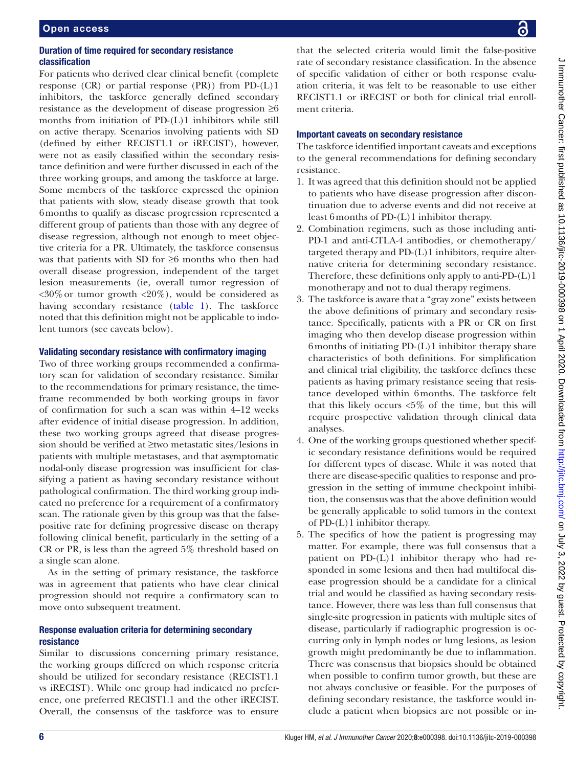#### Duration of time required for secondary resistance classification

For patients who derived clear clinical benefit (complete response  $(CR)$  or partial response  $(PR)$  from PD- $(L)1$ inhibitors, the taskforce generally defined secondary resistance as the development of disease progression ≥6 months from initiation of PD-(L)1 inhibitors while still on active therapy. Scenarios involving patients with SD (defined by either RECIST1.1 or iRECIST), however, were not as easily classified within the secondary resistance definition and were further discussed in each of the three working groups, and among the taskforce at large. Some members of the taskforce expressed the opinion that patients with slow, steady disease growth that took 6months to qualify as disease progression represented a different group of patients than those with any degree of disease regression, although not enough to meet objective criteria for a PR. Ultimately, the taskforce consensus was that patients with SD for ≥6 months who then had overall disease progression, independent of the target lesion measurements (ie, overall tumor regression of  $\langle 30\% \text{ or tumor growth } \langle 20\% \rangle$ , would be considered as having secondary resistance [\(table](#page-3-0) 1). The taskforce noted that this definition might not be applicable to indolent tumors (see caveats below).

# Validating secondary resistance with confirmatory imaging

Two of three working groups recommended a confirmatory scan for validation of secondary resistance. Similar to the recommendations for primary resistance, the timeframe recommended by both working groups in favor of confirmation for such a scan was within 4–12 weeks after evidence of initial disease progression. In addition, these two working groups agreed that disease progression should be verified at ≥two metastatic sites/lesions in patients with multiple metastases, and that asymptomatic nodal-only disease progression was insufficient for classifying a patient as having secondary resistance without pathological confirmation. The third working group indicated no preference for a requirement of a confirmatory scan. The rationale given by this group was that the falsepositive rate for defining progressive disease on therapy following clinical benefit, particularly in the setting of a CR or PR, is less than the agreed 5% threshold based on a single scan alone.

As in the setting of primary resistance, the taskforce was in agreement that patients who have clear clinical progression should not require a confirmatory scan to move onto subsequent treatment.

# Response evaluation criteria for determining secondary resistance

Similar to discussions concerning primary resistance, the working groups differed on which response criteria should be utilized for secondary resistance (RECIST1.1 vs iRECIST). While one group had indicated no preference, one preferred RECIST1.1 and the other iRECIST. Overall, the consensus of the taskforce was to ensure

that the selected criteria would limit the false-positive rate of secondary resistance classification. In the absence of specific validation of either or both response evaluation criteria, it was felt to be reasonable to use either RECIST1.1 or iRECIST or both for clinical trial enrollment criteria.

# Important caveats on secondary resistance

The taskforce identified important caveats and exceptions to the general recommendations for defining secondary resistance.

- 1. It was agreed that this definition should not be applied to patients who have disease progression after discontinuation due to adverse events and did not receive at least 6months of PD-(L)1 inhibitor therapy.
- 2. Combination regimens, such as those including anti-PD-1 and anti-CTLA-4 antibodies, or chemotherapy/ targeted therapy and PD-(L)1 inhibitors, require alternative criteria for determining secondary resistance. Therefore, these definitions only apply to anti-PD-(L)1 monotherapy and not to dual therapy regimens.
- 3. The taskforce is aware that a "gray zone" exists between the above definitions of primary and secondary resistance. Specifically, patients with a PR or CR on first imaging who then develop disease progression within 6months of initiating PD-(L)1 inhibitor therapy share characteristics of both definitions. For simplification and clinical trial eligibility, the taskforce defines these patients as having primary resistance seeing that resistance developed within 6months. The taskforce felt that this likely occurs <5% of the time, but this will require prospective validation through clinical data analyses.
- 4. One of the working groups questioned whether specific secondary resistance definitions would be required for different types of disease. While it was noted that there are disease-specific qualities to response and progression in the setting of immune checkpoint inhibition, the consensus was that the above definition would be generally applicable to solid tumors in the context of PD-(L)1 inhibitor therapy.
- 5. The specifics of how the patient is progressing may matter. For example, there was full consensus that a patient on PD-(L)1 inhibitor therapy who had responded in some lesions and then had multifocal disease progression should be a candidate for a clinical trial and would be classified as having secondary resistance. However, there was less than full consensus that single-site progression in patients with multiple sites of disease, particularly if radiographic progression is occurring only in lymph nodes or lung lesions, as lesion growth might predominantly be due to inflammation. There was consensus that biopsies should be obtained when possible to confirm tumor growth, but these are not always conclusive or feasible. For the purposes of defining secondary resistance, the taskforce would include a patient when biopsies are not possible or in-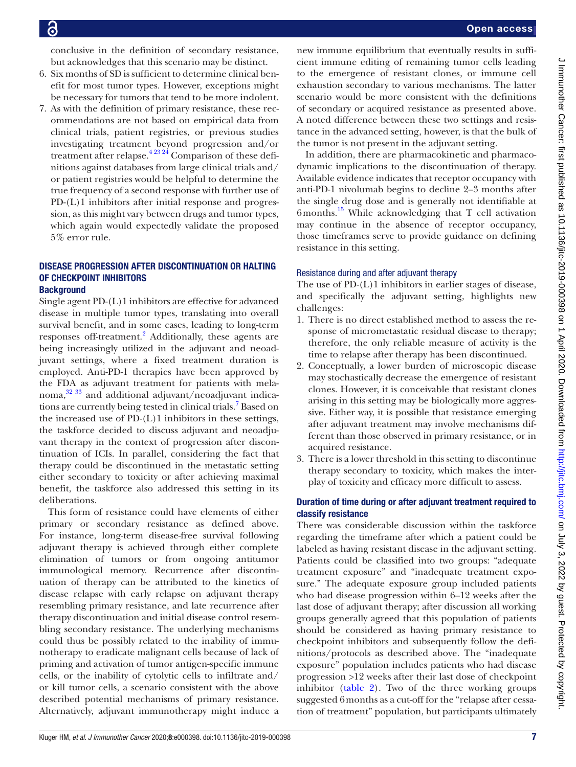Open access

J Immunother Cancer: first published as 10.1136/jitc-2019-000398 on 1 April 2020. Downloaded from http://jitc.bm/ on July 3, 2022 by guest. Protected by copyright J Immunother Cancer: first published as 10.1136/jitc-2019-000398 on 1 April 2020. Downloaded from <http://jitc.bmj.com/> on July 3, 2022 by guest. Protected by copyright.

conclusive in the definition of secondary resistance, but acknowledges that this scenario may be distinct.

- 6. Six months of SD is sufficient to determine clinical benefit for most tumor types. However, exceptions might be necessary for tumors that tend to be more indolent.
- 7. As with the definition of primary resistance, these recommendations are not based on empirical data from clinical trials, patient registries, or previous studies investigating treatment beyond progression and/or treatment after relapse.<sup>[4 23 24](#page-10-3)</sup> Comparison of these definitions against databases from large clinical trials and/ or patient registries would be helpful to determine the true frequency of a second response with further use of PD-(L)1 inhibitors after initial response and progression, as this might vary between drugs and tumor types, which again would expectedly validate the proposed 5% error rule.

# Disease progression after discontinuation or halting of checkpoint inhibitors

#### **Background**

Single agent PD-(L)1 inhibitors are effective for advanced disease in multiple tumor types, translating into overall survival benefit, and in some cases, leading to long-term responses off-treatment.<sup>2</sup> Additionally, these agents are being increasingly utilized in the adjuvant and neoadjuvant settings, where a fixed treatment duration is employed. Anti-PD-1 therapies have been approved by the FDA as adjuvant treatment for patients with melanoma, $32\,33$  and additional adjuvant/neoadjuvant indica-tions are currently being tested in clinical trials.<sup>[7](#page-10-5)</sup> Based on the increased use of PD-(L)1 inhibitors in these settings, the taskforce decided to discuss adjuvant and neoadjuvant therapy in the context of progression after discontinuation of ICIs. In parallel, considering the fact that therapy could be discontinued in the metastatic setting either secondary to toxicity or after achieving maximal benefit, the taskforce also addressed this setting in its deliberations.

This form of resistance could have elements of either primary or secondary resistance as defined above. For instance, long-term disease-free survival following adjuvant therapy is achieved through either complete elimination of tumors or from ongoing antitumor immunological memory. Recurrence after discontinuation of therapy can be attributed to the kinetics of disease relapse with early relapse on adjuvant therapy resembling primary resistance, and late recurrence after therapy discontinuation and initial disease control resembling secondary resistance. The underlying mechanisms could thus be possibly related to the inability of immunotherapy to eradicate malignant cells because of lack of priming and activation of tumor antigen-specific immune cells, or the inability of cytolytic cells to infiltrate and/ or kill tumor cells, a scenario consistent with the above described potential mechanisms of primary resistance. Alternatively, adjuvant immunotherapy might induce a

new immune equilibrium that eventually results in sufficient immune editing of remaining tumor cells leading to the emergence of resistant clones, or immune cell exhaustion secondary to various mechanisms. The latter scenario would be more consistent with the definitions of secondary or acquired resistance as presented above. A noted difference between these two settings and resistance in the advanced setting, however, is that the bulk of the tumor is not present in the adjuvant setting.

In addition, there are pharmacokinetic and pharmacodynamic implications to the discontinuation of therapy. Available evidence indicates that receptor occupancy with anti-PD-1 nivolumab begins to decline 2–3 months after the single drug dose and is generally not identifiable at 6 months.<sup>15</sup> While acknowledging that  $T$  cell activation may continue in the absence of receptor occupancy, those timeframes serve to provide guidance on defining resistance in this setting.

#### Resistance during and after adjuvant therapy

The use of PD-(L)1 inhibitors in earlier stages of disease, and specifically the adjuvant setting, highlights new challenges:

- 1. There is no direct established method to assess the response of micrometastatic residual disease to therapy; therefore, the only reliable measure of activity is the time to relapse after therapy has been discontinued.
- 2. Conceptually, a lower burden of microscopic disease may stochastically decrease the emergence of resistant clones. However, it is conceivable that resistant clones arising in this setting may be biologically more aggressive. Either way, it is possible that resistance emerging after adjuvant treatment may involve mechanisms different than those observed in primary resistance, or in acquired resistance.
- 3. There is a lower threshold in this setting to discontinue therapy secondary to toxicity, which makes the interplay of toxicity and efficacy more difficult to assess.

#### Duration of time during or after adjuvant treatment required to classify resistance

There was considerable discussion within the taskforce regarding the timeframe after which a patient could be labeled as having resistant disease in the adjuvant setting. Patients could be classified into two groups: "adequate treatment exposure" and "inadequate treatment exposure." The adequate exposure group included patients who had disease progression within 6–12 weeks after the last dose of adjuvant therapy; after discussion all working groups generally agreed that this population of patients should be considered as having primary resistance to checkpoint inhibitors and subsequently follow the definitions/protocols as described above. The "inadequate exposure" population includes patients who had disease progression >12 weeks after their last dose of checkpoint inhibitor [\(table](#page-7-0) 2). Two of the three working groups suggested 6months as a cut-off for the "relapse after cessation of treatment" population, but participants ultimately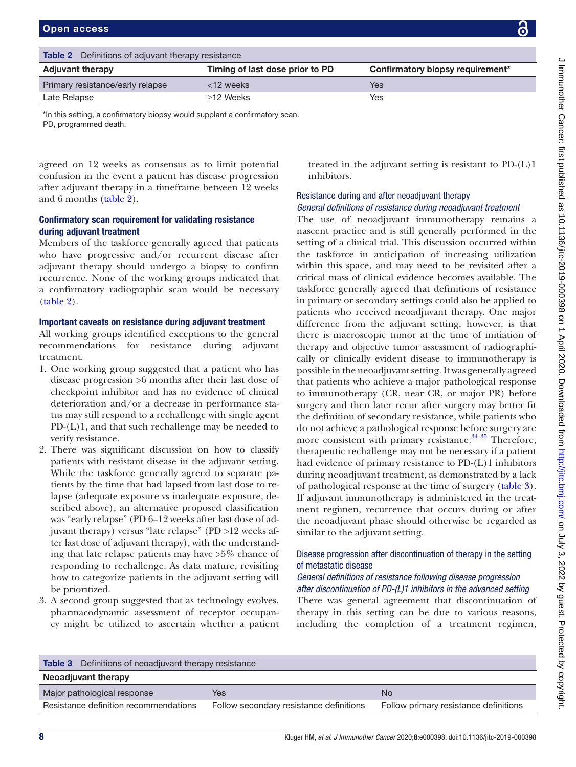# Open access

<span id="page-7-0"></span>

| <b>Table 2</b> Definitions of adjuvant therapy resistance |                                 |                                  |  |  |  |
|-----------------------------------------------------------|---------------------------------|----------------------------------|--|--|--|
| <b>Adjuvant therapy</b>                                   | Timing of last dose prior to PD | Confirmatory biopsy requirement* |  |  |  |
| Primary resistance/early relapse                          | $<$ 12 weeks                    | Yes                              |  |  |  |
| Late Relapse                                              | $\geq$ 12 Weeks                 | Yes                              |  |  |  |
|                                                           |                                 |                                  |  |  |  |

\*In this setting, a confirmatory biopsy would supplant a confirmatory scan. PD, programmed death.

agreed on 12 weeks as consensus as to limit potential confusion in the event a patient has disease progression after adjuvant therapy in a timeframe between 12 weeks and 6 months [\(table](#page-7-0) 2).

#### Confirmatory scan requirement for validating resistance during adjuvant treatment

Members of the taskforce generally agreed that patients who have progressive and/or recurrent disease after adjuvant therapy should undergo a biopsy to confirm recurrence. None of the working groups indicated that a confirmatory radiographic scan would be necessary ([table](#page-7-0) 2).

#### Important caveats on resistance during adjuvant treatment

All working groups identified exceptions to the general recommendations for resistance during adjuvant treatment.

- 1. One working group suggested that a patient who has disease progression >6 months after their last dose of checkpoint inhibitor and has no evidence of clinical deterioration and/or a decrease in performance status may still respond to a rechallenge with single agent PD-(L)1, and that such rechallenge may be needed to verify resistance.
- 2. There was significant discussion on how to classify patients with resistant disease in the adjuvant setting. While the taskforce generally agreed to separate patients by the time that had lapsed from last dose to relapse (adequate exposure vs inadequate exposure, described above), an alternative proposed classification was "early relapse" (PD 6–12 weeks after last dose of adjuvant therapy) versus "late relapse" (PD >12 weeks after last dose of adjuvant therapy), with the understanding that late relapse patients may have >5% chance of responding to rechallenge. As data mature, revisiting how to categorize patients in the adjuvant setting will be prioritized.
- 3. A second group suggested that as technology evolves, pharmacodynamic assessment of receptor occupancy might be utilized to ascertain whether a patient

treated in the adjuvant setting is resistant to PD-(L)1 inhibitors.

# Resistance during and after neoadjuvant therapy *General definitions of resistance during neoadjuvant treatment*

The use of neoadjuvant immunotherapy remains a nascent practice and is still generally performed in the setting of a clinical trial. This discussion occurred within the taskforce in anticipation of increasing utilization within this space, and may need to be revisited after a critical mass of clinical evidence becomes available. The taskforce generally agreed that definitions of resistance in primary or secondary settings could also be applied to patients who received neoadjuvant therapy. One major difference from the adjuvant setting, however, is that there is macroscopic tumor at the time of initiation of therapy and objective tumor assessment of radiographically or clinically evident disease to immunotherapy is possible in the neoadjuvant setting. It was generally agreed that patients who achieve a major pathological response to immunotherapy (CR, near CR, or major PR) before surgery and then later recur after surgery may better fit the definition of secondary resistance, while patients who do not achieve a pathological response before surgery are more consistent with primary resistance.<sup>34 35</sup> Therefore, therapeutic rechallenge may not be necessary if a patient had evidence of primary resistance to PD-(L)1 inhibitors during neoadjuvant treatment, as demonstrated by a lack of pathological response at the time of surgery [\(table](#page-7-1) 3). If adjuvant immunotherapy is administered in the treatment regimen, recurrence that occurs during or after the neoadjuvant phase should otherwise be regarded as similar to the adjuvant setting.

# Disease progression after discontinuation of therapy in the setting of metastatic disease

#### *General definitions of resistance following disease progression after discontinuation of PD-(L)1 inhibitors in the advanced setting*

There was general agreement that discontinuation of therapy in this setting can be due to various reasons, including the completion of a treatment regimen,

<span id="page-7-1"></span>

| Table 3<br>Definitions of neoadjuvant therapy resistance |                                         |                                       |  |  |  |
|----------------------------------------------------------|-----------------------------------------|---------------------------------------|--|--|--|
| Neoadjuvant therapy                                      |                                         |                                       |  |  |  |
| Major pathological response                              | <b>Yes</b>                              | No                                    |  |  |  |
| Resistance definition recommendations                    | Follow secondary resistance definitions | Follow primary resistance definitions |  |  |  |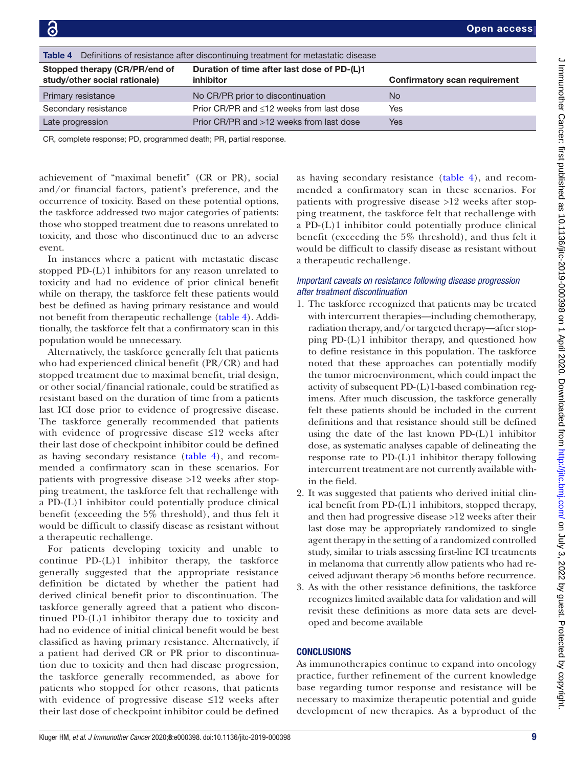<span id="page-8-0"></span>

| <b>Table 4</b> Definitions of resistance after discontinuing treatment for metastatic disease |                                                          |                                      |  |  |  |
|-----------------------------------------------------------------------------------------------|----------------------------------------------------------|--------------------------------------|--|--|--|
| Stopped therapy (CR/PR/end of<br>study/other social rationale)                                | Duration of time after last dose of PD-(L)1<br>inhibitor | <b>Confirmatory scan requirement</b> |  |  |  |
| Primary resistance                                                                            | No CR/PR prior to discontinuation                        | No                                   |  |  |  |
| Secondary resistance                                                                          | Prior CR/PR and $\leq$ 12 weeks from last dose           | Yes                                  |  |  |  |
| Late progression                                                                              | Prior CR/PR and >12 weeks from last dose                 | Yes                                  |  |  |  |

CR, complete response; PD, programmed death; PR, partial response.

achievement of "maximal benefit" (CR or PR), social and/or financial factors, patient's preference, and the occurrence of toxicity. Based on these potential options, the taskforce addressed two major categories of patients: those who stopped treatment due to reasons unrelated to toxicity, and those who discontinued due to an adverse event.

In instances where a patient with metastatic disease stopped PD-(L)1 inhibitors for any reason unrelated to toxicity and had no evidence of prior clinical benefit while on therapy, the taskforce felt these patients would best be defined as having primary resistance and would not benefit from therapeutic rechallenge [\(table](#page-8-0) 4). Additionally, the taskforce felt that a confirmatory scan in this population would be unnecessary.

Alternatively, the taskforce generally felt that patients who had experienced clinical benefit (PR/CR) and had stopped treatment due to maximal benefit, trial design, or other social/financial rationale, could be stratified as resistant based on the duration of time from a patients last ICI dose prior to evidence of progressive disease. The taskforce generally recommended that patients with evidence of progressive disease ≤12 weeks after their last dose of checkpoint inhibitor could be defined as having secondary resistance ([table](#page-8-0) 4), and recommended a confirmatory scan in these scenarios. For patients with progressive disease >12 weeks after stopping treatment, the taskforce felt that rechallenge with a PD-(L)1 inhibitor could potentially produce clinical benefit (exceeding the 5% threshold), and thus felt it would be difficult to classify disease as resistant without a therapeutic rechallenge.

For patients developing toxicity and unable to continue PD-(L)1 inhibitor therapy, the taskforce generally suggested that the appropriate resistance definition be dictated by whether the patient had derived clinical benefit prior to discontinuation. The taskforce generally agreed that a patient who discontinued PD-(L)1 inhibitor therapy due to toxicity and had no evidence of initial clinical benefit would be best classified as having primary resistance. Alternatively, if a patient had derived CR or PR prior to discontinuation due to toxicity and then had disease progression, the taskforce generally recommended, as above for patients who stopped for other reasons, that patients with evidence of progressive disease ≤12 weeks after their last dose of checkpoint inhibitor could be defined

as having secondary resistance ([table](#page-8-0) 4), and recommended a confirmatory scan in these scenarios. For patients with progressive disease >12 weeks after stopping treatment, the taskforce felt that rechallenge with a PD-(L)1 inhibitor could potentially produce clinical benefit (exceeding the 5% threshold), and thus felt it would be difficult to classify disease as resistant without a therapeutic rechallenge.

#### *Important caveats on resistance following disease progression after treatment discontinuation*

- 1. The taskforce recognized that patients may be treated with intercurrent therapies—including chemotherapy, radiation therapy, and/or targeted therapy—after stopping PD-(L)1 inhibitor therapy, and questioned how to define resistance in this population. The taskforce noted that these approaches can potentially modify the tumor microenvironment, which could impact the activity of subsequent PD-(L)1-based combination regimens. After much discussion, the taskforce generally felt these patients should be included in the current definitions and that resistance should still be defined using the date of the last known PD-(L)1 inhibitor dose, as systematic analyses capable of delineating the response rate to  $PD-(L)1$  inhibitor therapy following intercurrent treatment are not currently available within the field.
- 2. It was suggested that patients who derived initial clinical benefit from PD-(L)1 inhibitors, stopped therapy, and then had progressive disease >12 weeks after their last dose may be appropriately randomized to single agent therapy in the setting of a randomized controlled study, similar to trials assessing first-line ICI treatments in melanoma that currently allow patients who had received adjuvant therapy >6 months before recurrence.
- 3. As with the other resistance definitions, the taskforce recognizes limited available data for validation and will revisit these definitions as more data sets are developed and become available

#### **CONCLUSIONS**

As immunotherapies continue to expand into oncology practice, further refinement of the current knowledge base regarding tumor response and resistance will be necessary to maximize therapeutic potential and guide development of new therapies. As a byproduct of the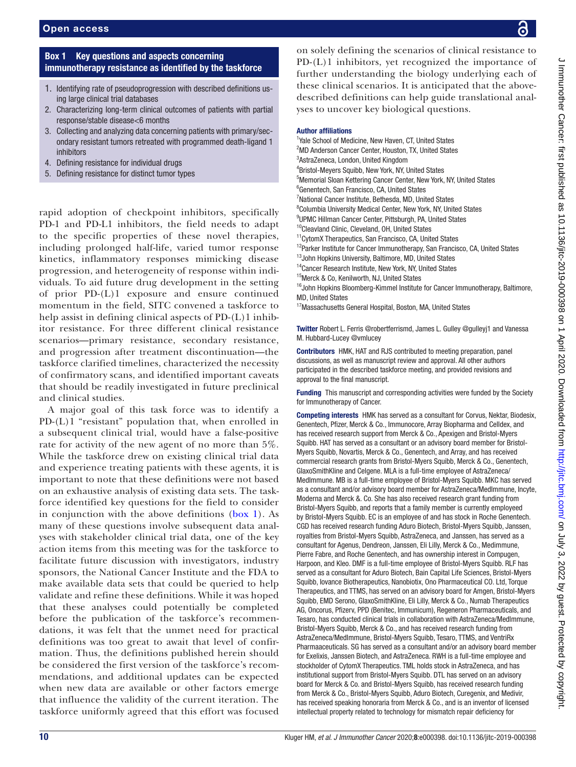# Box 1 Key questions and aspects concerning immunotherapy resistance as identified by the taskforce

- <span id="page-9-0"></span>1. Identifying rate of pseudoprogression with described definitions using large clinical trial databases
- 2. Characterizing long-term clinical outcomes of patients with partial response/stable disease<6 months
- 3. Collecting and analyzing data concerning patients with primary/secondary resistant tumors retreated with programmed death-ligand 1 inhibitors
- 4. Defining resistance for individual drugs
- 5. Defining resistance for distinct tumor types

rapid adoption of checkpoint inhibitors, specifically PD-1 and PD-L1 inhibitors, the field needs to adapt to the specific properties of these novel therapies, including prolonged half-life, varied tumor response kinetics, inflammatory responses mimicking disease progression, and heterogeneity of response within individuals. To aid future drug development in the setting of prior PD-(L)1 exposure and ensure continued momentum in the field, SITC convened a taskforce to help assist in defining clinical aspects of PD-(L)1 inhibitor resistance. For three different clinical resistance scenarios—primary resistance, secondary resistance, and progression after treatment discontinuation—the taskforce clarified timelines, characterized the necessity of confirmatory scans, and identified important caveats that should be readily investigated in future preclinical and clinical studies.

A major goal of this task force was to identify a PD-(L)1 "resistant" population that, when enrolled in a subsequent clinical trial, would have a false-positive rate for activity of the new agent of no more than 5%. While the taskforce drew on existing clinical trial data and experience treating patients with these agents, it is important to note that these definitions were not based on an exhaustive analysis of existing data sets. The taskforce identified key questions for the field to consider in conjunction with the above definitions ([box](#page-9-0) 1). As many of these questions involve subsequent data analyses with stakeholder clinical trial data, one of the key action items from this meeting was for the taskforce to facilitate future discussion with investigators, industry sponsors, the National Cancer Institute and the FDA to make available data sets that could be queried to help validate and refine these definitions. While it was hoped that these analyses could potentially be completed before the publication of the taskforce's recommendations, it was felt that the unmet need for practical definitions was too great to await that level of confirmation. Thus, the definitions published herein should be considered the first version of the taskforce's recommendations, and additional updates can be expected when new data are available or other factors emerge that influence the validity of the current iteration. The taskforce uniformly agreed that this effort was focused

on solely defining the scenarios of clinical resistance to PD-(L)1 inhibitors, yet recognized the importance of further understanding the biology underlying each of these clinical scenarios. It is anticipated that the abovedescribed definitions can help guide translational analyses to uncover key biological questions.

#### Author affiliations

<sup>1</sup>Yale School of Medicine, New Haven, CT, United States <sup>2</sup>MD Anderson Cancer Center, Houston, TX, United States 3 AstraZeneca, London, United Kingdom 4 Bristol-Meyers Squibb, New York, NY, United States 5 Memorial Sloan Kettering Cancer Center, New York, NY, United States 6 Genentech, San Francisco, CA, United States <sup>7</sup>National Cancer Institute, Bethesda, MD, United States 8 Columbia University Medical Center, New York, NY, United States <sup>9</sup>UPMC Hillman Cancer Center, Pittsburgh, PA, United States <sup>10</sup>Cleavland Clinic, Cleveland, OH, United States 11CytomX Therapeutics, San Francisco, CA, United States <sup>12</sup>Parker Institute for Cancer Immunotherapy, San Francisco, CA, United States 13 John Hopkins University, Baltimore, MD, United States <sup>14</sup>Cancer Research Institute, New York, NY, United States 15Merck & Co, Kenilworth, NJ, United States

 $16$ John Hopkins Bloomberg-Kimmel Institute for Cancer Immunotherapy, Baltimore, MD, United States

<sup>17</sup>Massachusetts General Hospital, Boston, MA, United States

Twitter Robert L. Ferris [@robertferrismd](https://twitter.com/robertferrismd), James L. Gulley [@gulleyj1](https://twitter.com/gulleyj1) and Vanessa M. Hubbard-Lucey [@vmlucey](https://twitter.com/vmlucey)

Contributors HMK, HAT and RJS contributed to meeting preparation, panel discussions, as well as manuscript review and approval. All other authors participated in the described taskforce meeting, and provided revisions and approval to the final manuscript.

Funding This manuscript and corresponding activities were funded by the Society for Immunotherapy of Cancer.

Competing interests HMK has served as a consultant for Corvus, Nektar, Biodesix, Genentech, Pfizer, Merck & Co., Immunocore, Array Biopharma and Celldex, and has received research support from Merck & Co., Apexigen and Bristol-Myers Squibb. HAT has served as a consultant or an advisory board member for Bristol-Myers Squibb, Novartis, Merck & Co., Genentech, and Array, and has received commercial research grants from Bristol-Myers Squibb, Merck & Co., Genentech, GlaxoSmithKline and Celgene. MLA is a full-time employee of AstraZeneca/ MedImmune. MB is a full-time employee of Bristol-Myers Squibb. MKC has served as a consultant and/or advisory board member for AstraZeneca/MedImmune, Incyte, Moderna and Merck &. Co. She has also received research grant funding from Bristol-Myers Squibb, and reports that a family member is currently employeed by Bristol-Myers Squibb. EC is an employee of and has stock in Roche Genentech. CGD has received research funding Aduro Biotech, Bristol-Myers Squibb, Janssen, royalties from Bristol-Myers Squibb, AstraZeneca, and Janssen, has served as a consultant for Agenus, Dendreon, Janssen, Eli Lilly, Merck & Co., Medimmune, Pierre Fabre, and Roche Genentech, and has ownership interest in Compugen, Harpoon, and Kleo. DMF is a full-time employee of Bristol-Myers Squibb. RLF has served as a consultant for Aduro Biotech, Bain Capital Life Sciences, Bristol-Myers Squibb, Iovance Biotherapeutics, Nanobiotix, Ono Pharmaceutical CO. Ltd, Torque Therapeutics, and TTMS, has served on an advisory board for Amgen, Bristol-Myers Squibb, EMD Serono, GlaxoSmithKline, Eli Lilly, Merck & Co., Numab Therapeutics AG, Oncorus, Pfizerv, PPD (Benitec, Immunicum), Regeneron Pharmaceuticals, and Tesaro, has conducted clinical trials in collaboration with AstraZeneca/MedImmune, Bristol-Myers Squibb, Merck & Co., and has received research funding from AstraZeneca/MedImmune, Bristol-Myers Squibb, Tesaro, TTMS, and VentriRx Pharmaaceuticals. SG has served as a consultant and/or an advisory board member for Exelixis, Janssen Biotech, and AstraZeneca. RWH is a full-time employee and stockholder of CytomX Therapeutics. TML holds stock in AstraZeneca, and has institutional support from Bristol-Myers Squibb. DTL has served on an advisory board for Merck & Co. and Bristol-Myers Squibb, has received research funding from Merck & Co., Bristol-Myers Squibb, Aduro Biotech, Curegenix, and Medivir, has received speaking honoraria from Merck & Co., and is an inventor of licensed intellectual property related to technology for mismatch repair deficiency for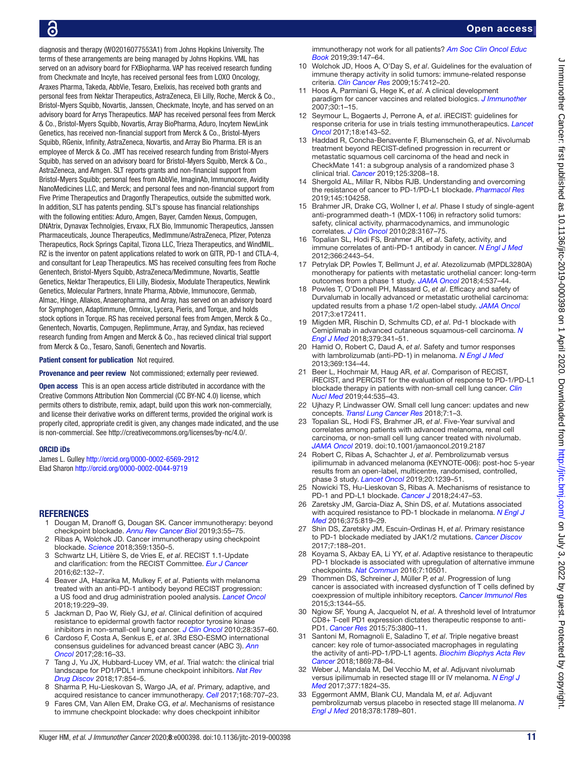diagnosis and therapy (WO2016077553A1) from Johns Hopkins University. The terms of these arrangements are being managed by Johns Hopkins. VML has served on an advisory board for FXBiopharma. VAP has received research funding from Checkmate and Incyte, has received personal fees from LOXO Oncology, Araxes Pharma, Takeda, AbbVie, Tesaro, Exelixis, has received both grants and personal fees from Nektar Therapeutics, AstraZeneca, Eli Lilly, Roche, Merck & Co., Bristol-Myers Squibb, Novartis, Janssen, Checkmate, Incyte, and has served on an advisory board for Arrys Therapeutics. MAP has received personal fees from Merck & Co., Bristol-Myers Squibb, Novartis, Array BioPharma, Aduro, Incytem NewLink Genetics, has received non-financial support from Merck & Co., Bristol-Myers Squibb, RGenix, Infinity, AstraZeneca, Novartis, and Array Bio Pharma. ER is an employee of Merck & Co. JMT has received research funding from Bristol-Myers Squibb, has served on an advisory board for Bristol-Myers Squibb, Merck & Co., AstraZeneca, and Amgen. SLT reports grants and non-financial support from Bristol-Myers Squibb; personal fees from AbbVie, ImaginAb, Immunocore, Avidity NanoMedicines LLC, and Merck; and personal fees and non-financial support from Five Prime Therapeutics and Dragonfly Therapeutics, outside the submitted work. In addition, SLT has patents pending. SLT's spouse has financial relationships with the following entities: Aduro, Amgen, Bayer, Camden Nexus, Compugen, DNAtrix, Dynavax Technolgies, Ervaxx, FLX Bio, Immunomic Therapeutics, Janssen Pharmaceuticals, Jounce Therapeutics, MedImmune/AstraZeneca, Pfizer, Potenza Therapeutics, Rock Springs Capital, Tizona LLC, Trieza Therapeutics, and WindMIL. RZ is the inventor on patent applications related to work on GITR, PD-1 and CTLA-4, and consultant for Leap Therapeutics. MS has received consulting fees from Roche Genentech, Bristol-Myers Squibb, AstraZeneca/Medimmune, Novartis, Seattle Genetics, Nektar Therapeutics, Eli Lilly, Biodesix, Modulate Therapeutics, Newlink Genetics, Molecular Partners, Innate Pharma, Abbvie, Immunocore, Genmab, Almac, Hinge, Allakos, Anaeropharma, and Array, has served on an advisory board for Symphogen, Adaptimmune, Omniox, Lycera, Pieris, and Torque, and holds stock options in Torque. RS has received personal fees from Amgen, Merck & Co., Genentech, Novartis, Compugen, Replimmune, Array, and Syndax, has recieved research funding from Amgen and Merck & Co., has recieved clinical trial support from Merck & Co., Tesaro, Sanofi, Genentech and Novartis.

#### Patient consent for publication Not required.

Provenance and peer review Not commissioned; externally peer reviewed.

Open access This is an open access article distributed in accordance with the Creative Commons Attribution Non Commercial (CC BY-NC 4.0) license, which permits others to distribute, remix, adapt, build upon this work non-commercially, and license their derivative works on different terms, provided the original work is properly cited, appropriate credit is given, any changes made indicated, and the use is non-commercial. See [http://creativecommons.org/licenses/by-nc/4.0/.](http://creativecommons.org/licenses/by-nc/4.0/)

#### ORCID iDs

James L. Gulley<http://orcid.org/0000-0002-6569-2912> Elad Sharon <http://orcid.org/0000-0002-0044-9719>

#### **REFERENCES**

- <span id="page-10-0"></span>1 Dougan M, Dranoff G, Dougan SK. Cancer immunotherapy: beyond checkpoint blockade. *[Annu Rev Cancer Biol](http://dx.doi.org/10.1146/annurev-cancerbio-030518-055552)* 2019;3:55–75.
- <span id="page-10-2"></span>2 Ribas A, Wolchok JD. Cancer immunotherapy using checkpoint blockade. *[Science](http://dx.doi.org/10.1126/science.aar4060)* 2018;359:1350–5.
- <span id="page-10-1"></span>3 Schwartz LH, Litière S, de Vries E, *et al*. RECIST 1.1-Update and clarification: from the RECIST Committee. *[Eur J Cancer](http://dx.doi.org/10.1016/j.ejca.2016.03.081)* 2016;62:132–7.
- <span id="page-10-3"></span>4 Beaver JA, Hazarika M, Mulkey F, *et al*. Patients with melanoma treated with an anti-PD-1 antibody beyond RECIST progression: a US food and drug administration pooled analysis. *[Lancet Oncol](http://dx.doi.org/10.1016/S1470-2045(17)30846-X)* 2018;19:229–39.
- <span id="page-10-4"></span>5 Jackman D, Pao W, Riely GJ, *et al*. Clinical definition of acquired resistance to epidermal growth factor receptor tyrosine kinase inhibitors in non-small-cell lung cancer. *[J Clin Oncol](http://dx.doi.org/10.1200/JCO.2009.24.7049)* 2010;28:357–60.
- 6 Cardoso F, Costa A, Senkus E, *et al*. 3Rd ESO-ESMO international consensus guidelines for advanced breast cancer (ABC 3). *[Ann](http://dx.doi.org/10.1093/annonc/mdw544)  [Oncol](http://dx.doi.org/10.1093/annonc/mdw544)* 2017;28:16–33.
- <span id="page-10-5"></span>7 Tang J, Yu JX, Hubbard-Lucey VM, *et al*. Trial watch: the clinical trial landscape for PD1/PDL1 immune checkpoint inhibitors. *[Nat Rev](http://dx.doi.org/10.1038/nrd.2018.210)  [Drug Discov](http://dx.doi.org/10.1038/nrd.2018.210)* 2018;17:854–5.
- <span id="page-10-6"></span>8 Sharma P, Hu-Lieskovan S, Wargo JA, *et al*. Primary, adaptive, and acquired resistance to cancer immunotherapy. *[Cell](http://dx.doi.org/10.1016/j.cell.2017.01.017)* 2017;168:707–23.
- <span id="page-10-10"></span>9 Fares CM, Van Allen EM, Drake CG, *et al*. Mechanisms of resistance to immune checkpoint blockade: why does checkpoint inhibitor

immunotherapy not work for all patients? *[Am Soc Clin Oncol Educ](http://dx.doi.org/10.1200/EDBK_240837)  [Book](http://dx.doi.org/10.1200/EDBK_240837)* 2019;39:147–64.

- <span id="page-10-7"></span>10 Wolchok JD, Hoos A, O'Day S, *et al*. Guidelines for the evaluation of immune therapy activity in solid tumors: immune-related response criteria. *[Clin Cancer Res](http://dx.doi.org/10.1158/1078-0432.CCR-09-1624)* 2009;15:7412–20.
- <span id="page-10-8"></span>11 Hoos A, Parmiani G, Hege K, *et al*. A clinical development paradigm for cancer vaccines and related biologics. *[J Immunother](http://dx.doi.org/10.1097/01.cji.0000211341.88835.ae)* 2007;30:1–15.
- <span id="page-10-13"></span>12 Seymour L, Bogaerts J, Perrone A, *et al*. iRECIST: guidelines for response criteria for use in trials testing immunotherapeutics. *[Lancet](http://dx.doi.org/10.1016/S1470-2045(17)30074-8)  [Oncol](http://dx.doi.org/10.1016/S1470-2045(17)30074-8)* 2017;18:e143–52.
- <span id="page-10-9"></span>13 Haddad R, Concha-Benavente F, Blumenschein G, *et al*. Nivolumab treatment beyond RECIST-defined progression in recurrent or metastatic squamous cell carcinoma of the head and neck in CheckMate 141: a subgroup analysis of a randomized phase 3 clinical trial. *[Cancer](http://dx.doi.org/10.1002/cncr.32190)* 2019;125:3208–18.
- <span id="page-10-11"></span>14 Shergold AL, Millar R, Nibbs RJB. Understanding and overcoming the resistance of cancer to PD-1/PD-L1 blockade. *[Pharmacol Res](http://dx.doi.org/10.1016/j.phrs.2019.104258)* 2019;145:104258.
- <span id="page-10-12"></span>15 Brahmer JR, Drake CG, Wollner I, *et al*. Phase I study of single-agent anti-programmed death-1 (MDX-1106) in refractory solid tumors: safety, clinical activity, pharmacodynamics, and immunologic correlates. *[J Clin Oncol](http://dx.doi.org/10.1200/JCO.2009.26.7609)* 2010;28:3167–75.
- 16 Topalian SL, Hodi FS, Brahmer JR, *et al*. Safety, activity, and immune correlates of anti-PD-1 antibody in cancer. *[N Engl J Med](http://dx.doi.org/10.1056/NEJMoa1200690)* 2012;366:2443–54.
- 17 Petrylak DP, Powles T, Bellmunt J, *et al*. Atezolizumab (MPDL3280A) monotherapy for patients with metastatic urothelial cancer: long-term outcomes from a phase 1 study. *[JAMA Oncol](http://dx.doi.org/10.1001/jamaoncol.2017.5440)* 2018;4:537–44.
- 18 Powles T, O'Donnell PH, Massard C, *et al*. Efficacy and safety of Durvalumab in locally advanced or metastatic urothelial carcinoma: updated results from a phase 1/2 open-label study. *[JAMA Oncol](http://dx.doi.org/10.1001/jamaoncol.2017.2411)* 2017;3:e172411.
- 19 Migden MR, Rischin D, Schmults CD, *et al*. Pd-1 blockade with Cemiplimab in advanced cutaneous squamous-cell carcinoma. *[N](http://dx.doi.org/10.1056/NEJMoa1805131)  [Engl J Med](http://dx.doi.org/10.1056/NEJMoa1805131)* 2018;379:341–51.
- 20 Hamid O, Robert C, Daud A, *et al*. Safety and tumor responses with lambrolizumab (anti-PD-1) in melanoma. *[N Engl J Med](http://dx.doi.org/10.1056/NEJMoa1305133)* 2013;369:134–44.
- <span id="page-10-14"></span>21 Beer L, Hochmair M, Haug AR, *et al*. Comparison of RECIST, iRECIST, and PERCIST for the evaluation of response to PD-1/PD-L1 blockade therapy in patients with non-small cell lung cancer. *[Clin](http://dx.doi.org/10.1097/RLU.0000000000002603)  [Nucl Med](http://dx.doi.org/10.1097/RLU.0000000000002603)* 2019;44:535–43.
- <span id="page-10-15"></span>22 Ujhazy P, Lindwasser OW. Small cell lung cancer: updates and new concepts. *[Transl Lung Cancer Res](http://dx.doi.org/10.21037/tlcr.2018.02.01)* 2018;7:1–3.
- 23 Topalian SL, Hodi FS, Brahmer JR, *et al*. Five-Year survival and correlates among patients with advanced melanoma, renal cell carcinoma, or non-small cell lung cancer treated with nivolumab. *[JAMA Oncol](http://dx.doi.org/10.1001/jamaoncol.2019.2187)* 2019. doi:10.1001/jamaoncol.2019.2187
- 24 Robert C, Ribas A, Schachter J, *et al*. Pembrolizumab versus ipilimumab in advanced melanoma (KEYNOTE-006): post-hoc 5-year results from an open-label, multicentre, randomised, controlled, phase 3 study. *[Lancet Oncol](http://dx.doi.org/10.1016/S1470-2045(19)30388-2)* 2019;20:1239–51.
- <span id="page-10-16"></span>25 Nowicki TS, Hu-Lieskovan S, Ribas A. Mechanisms of resistance to PD-1 and PD-L1 blockade. *[Cancer J](http://dx.doi.org/10.1097/PPO.0000000000000303)* 2018;24:47–53.
- <span id="page-10-17"></span>26 Zaretsky JM, Garcia-Diaz A, Shin DS, *et al*. Mutations associated with acquired resistance to PD-1 blockade in melanoma. *[N Engl J](http://dx.doi.org/10.1056/NEJMoa1604958)  [Med](http://dx.doi.org/10.1056/NEJMoa1604958)* 2016;375:819–29.
- 27 Shin DS, Zaretsky JM, Escuin-Ordinas H, *et al*. Primary resistance to PD-1 blockade mediated by JAK1/2 mutations. *[Cancer Discov](http://dx.doi.org/10.1158/2159-8290.CD-16-1223)* 2017;7:188–201.
- 28 Koyama S, Akbay EA, Li YY, *et al*. Adaptive resistance to therapeutic PD-1 blockade is associated with upregulation of alternative immune checkpoints. *[Nat Commun](http://dx.doi.org/10.1038/ncomms10501)* 2016;7:10501.
- 29 Thommen DS, Schreiner J, Müller P, *et al*. Progression of lung cancer is associated with increased dysfunction of T cells defined by coexpression of multiple inhibitory receptors. *[Cancer Immunol Res](http://dx.doi.org/10.1158/2326-6066.CIR-15-0097)* 2015;3:1344–55.
- <span id="page-10-18"></span>30 Ngiow SF, Young A, Jacquelot N, *et al*. A threshold level of Intratumor CD8+ T-cell PD1 expression dictates therapeutic response to anti-PD1. *[Cancer Res](http://dx.doi.org/10.1158/0008-5472.CAN-15-1082)* 2015;75:3800–11.
- 31 Santoni M, Romagnoli E, Saladino T, *et al*. Triple negative breast cancer: key role of tumor-associated macrophages in regulating the activity of anti-PD-1/PD-L1 agents. *[Biochim Biophys Acta Rev](http://dx.doi.org/10.1016/j.bbcan.2017.10.007)  [Cancer](http://dx.doi.org/10.1016/j.bbcan.2017.10.007)* 2018;1869:78–84.
- <span id="page-10-19"></span>32 Weber J, Mandala M, Del Vecchio M, *et al*. Adjuvant nivolumab versus ipilimumab in resected stage III or IV melanoma. *[N Engl J](http://dx.doi.org/10.1056/NEJMoa1709030)  [Med](http://dx.doi.org/10.1056/NEJMoa1709030)* 2017;377:1824–35.
- 33 Eggermont AMM, Blank CU, Mandala M, *et al*. Adjuvant pembrolizumab versus placebo in resected stage III melanoma. *[N](http://dx.doi.org/10.1056/NEJMoa1802357)  [Engl J Med](http://dx.doi.org/10.1056/NEJMoa1802357)* 2018;378:1789–801.